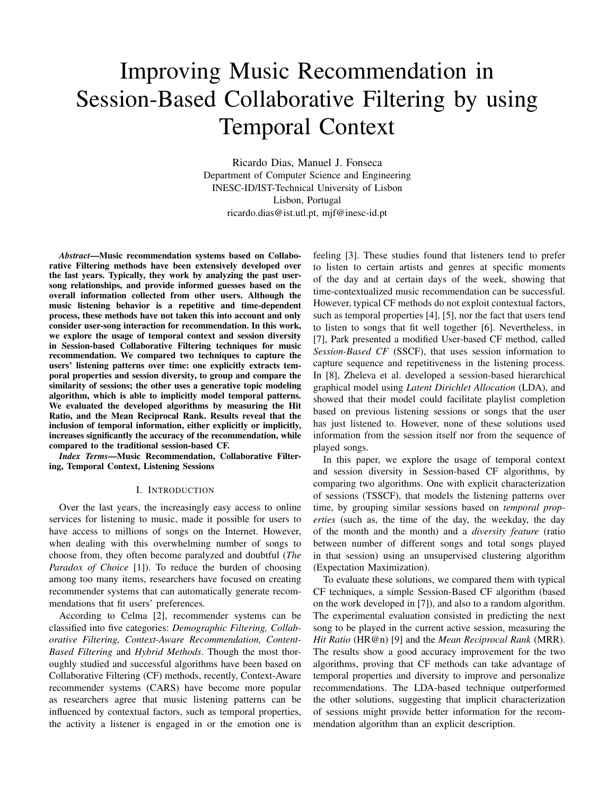# Improving Music Recommendation in Session-Based Collaborative Filtering by using Temporal Context

Ricardo Dias, Manuel J. Fonseca Department of Computer Science and Engineering INESC-ID/IST-Technical University of Lisbon Lisbon, Portugal ricardo.dias@ist.utl.pt, mjf@inesc-id.pt

*Abstract*—Music recommendation systems based on Collaborative Filtering methods have been extensively developed over the last years. Typically, they work by analyzing the past usersong relationships, and provide informed guesses based on the overall information collected from other users. Although the music listening behavior is a repetitive and time-dependent process, these methods have not taken this into account and only consider user-song interaction for recommendation. In this work, we explore the usage of temporal context and session diversity in Session-based Collaborative Filtering techniques for music recommendation. We compared two techniques to capture the users' listening patterns over time: one explicitly extracts temporal properties and session diversity, to group and compare the similarity of sessions; the other uses a generative topic modeling algorithm, which is able to implicitly model temporal patterns. We evaluated the developed algorithms by measuring the Hit Ratio, and the Mean Reciprocal Rank. Results reveal that the inclusion of temporal information, either explicitly or implicitly, increases significantly the accuracy of the recommendation, while compared to the traditional session-based CF.

*Index Terms*—Music Recommendation, Collaborative Filtering, Temporal Context, Listening Sessions

## I. INTRODUCTION

Over the last years, the increasingly easy access to online services for listening to music, made it possible for users to have access to millions of songs on the Internet. However, when dealing with this overwhelming number of songs to choose from, they often become paralyzed and doubtful (*The Paradox of Choice* [1]). To reduce the burden of choosing among too many items, researchers have focused on creating recommender systems that can automatically generate recommendations that fit users' preferences.

According to Celma [2], recommender systems can be classified into five categories: *Demographic Filtering, Collaborative Filtering, Context-Aware Recommendation, Content-Based Filtering* and *Hybrid Methods*. Though the most thoroughly studied and successful algorithms have been based on Collaborative Filtering (CF) methods, recently, Context-Aware recommender systems (CARS) have become more popular as researchers agree that music listening patterns can be influenced by contextual factors, such as temporal properties, the activity a listener is engaged in or the emotion one is

feeling [3]. These studies found that listeners tend to prefer to listen to certain artists and genres at specific moments of the day and at certain days of the week, showing that time-contextualized music recommendation can be successful. However, typical CF methods do not exploit contextual factors, such as temporal properties [4], [5], nor the fact that users tend to listen to songs that fit well together [6]. Nevertheless, in [7], Park presented a modified User-based CF method, called *Session-Based CF* (SSCF), that uses session information to capture sequence and repetitiveness in the listening process. In [8], Zheleva et al. developed a session-based hierarchical graphical model using *Latent Dirichlet Allocation* (LDA), and showed that their model could facilitate playlist completion based on previous listening sessions or songs that the user has just listened to. However, none of these solutions used information from the session itself nor from the sequence of played songs.

In this paper, we explore the usage of temporal context and session diversity in Session-based CF algorithms, by comparing two algorithms. One with explicit characterization of sessions (TSSCF), that models the listening patterns over time, by grouping similar sessions based on *temporal properties* (such as, the time of the day, the weekday, the day of the month and the month) and a *diversity feature* (ratio between number of different songs and total songs played in that session) using an unsupervised clustering algorithm (Expectation Maximization).

To evaluate these solutions, we compared them with typical CF techniques, a simple Session-Based CF algorithm (based on the work developed in [7]), and also to a random algorithm. The experimental evaluation consisted in predicting the next song to be played in the current active session, measuring the *Hit Ratio* (HR@n) [9] and the *Mean Reciprocal Rank* (MRR). The results show a good accuracy improvement for the two algorithms, proving that CF methods can take advantage of temporal properties and diversity to improve and personalize recommendations. The LDA-based technique outperformed the other solutions, suggesting that implicit characterization of sessions might provide better information for the recommendation algorithm than an explicit description.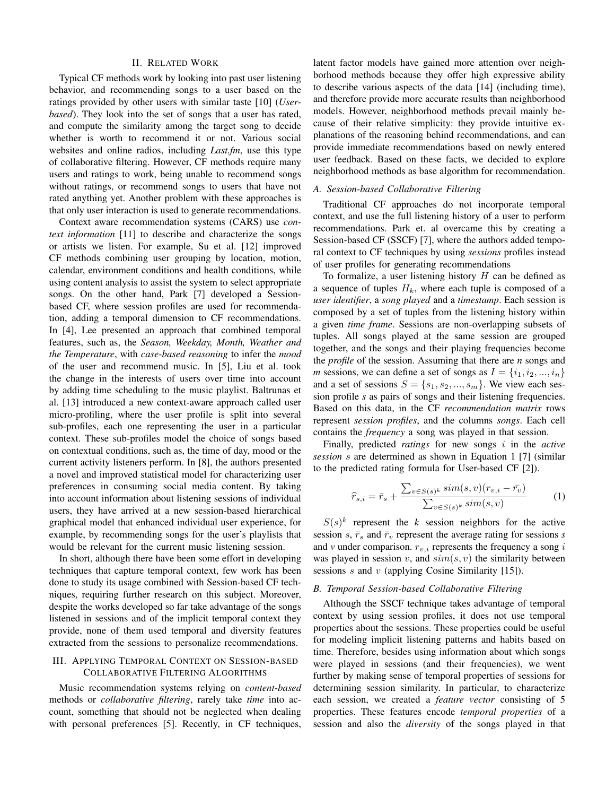#### II. RELATED WORK

Typical CF methods work by looking into past user listening behavior, and recommending songs to a user based on the ratings provided by other users with similar taste [10] (*Userbased*). They look into the set of songs that a user has rated, and compute the similarity among the target song to decide whether is worth to recommend it or not. Various social websites and online radios, including *Last.fm*, use this type of collaborative filtering. However, CF methods require many users and ratings to work, being unable to recommend songs without ratings, or recommend songs to users that have not rated anything yet. Another problem with these approaches is that only user interaction is used to generate recommendations.

Context aware recommendation systems (CARS) use *context information* [11] to describe and characterize the songs or artists we listen. For example, Su et al. [12] improved CF methods combining user grouping by location, motion, calendar, environment conditions and health conditions, while using content analysis to assist the system to select appropriate songs. On the other hand, Park [7] developed a Sessionbased CF, where session profiles are used for recommendation, adding a temporal dimension to CF recommendations. In [4], Lee presented an approach that combined temporal features, such as, the *Season, Weekday, Month, Weather and the Temperature*, with *case-based reasoning* to infer the *mood* of the user and recommend music. In [5], Liu et al. took the change in the interests of users over time into account by adding time scheduling to the music playlist. Baltrunas et al. [13] introduced a new context-aware approach called user micro-profiling, where the user profile is split into several sub-profiles, each one representing the user in a particular context. These sub-profiles model the choice of songs based on contextual conditions, such as, the time of day, mood or the current activity listeners perform. In [8], the authors presented a novel and improved statistical model for characterizing user preferences in consuming social media content. By taking into account information about listening sessions of individual users, they have arrived at a new session-based hierarchical graphical model that enhanced individual user experience, for example, by recommending songs for the user's playlists that would be relevant for the current music listening session.

In short, although there have been some effort in developing techniques that capture temporal context, few work has been done to study its usage combined with Session-based CF techniques, requiring further research on this subject. Moreover, despite the works developed so far take advantage of the songs listened in sessions and of the implicit temporal context they provide, none of them used temporal and diversity features extracted from the sessions to personalize recommendations.

## III. APPLYING TEMPORAL CONTEXT ON SESSION-BASED COLLABORATIVE FILTERING ALGORITHMS

Music recommendation systems relying on *content-based* methods or *collaborative filtering*, rarely take *time* into account, something that should not be neglected when dealing with personal preferences [5]. Recently, in CF techniques,

latent factor models have gained more attention over neighborhood methods because they offer high expressive ability to describe various aspects of the data [14] (including time), and therefore provide more accurate results than neighborhood models. However, neighborhood methods prevail mainly because of their relative simplicity: they provide intuitive explanations of the reasoning behind recommendations, and can provide immediate recommendations based on newly entered user feedback. Based on these facts, we decided to explore neighborhood methods as base algorithm for recommendation.

## *A. Session-based Collaborative Filtering*

Traditional CF approaches do not incorporate temporal context, and use the full listening history of a user to perform recommendations. Park et. al overcame this by creating a Session-based CF (SSCF) [7], where the authors added temporal context to CF techniques by using *sessions* profiles instead of user profiles for generating recommendations

To formalize, a user listening history  $H$  can be defined as a sequence of tuples  $H_k$ , where each tuple is composed of a *user identifier*, a *song played* and a *timestamp*. Each session is composed by a set of tuples from the listening history within a given *time frame*. Sessions are non-overlapping subsets of tuples. All songs played at the same session are grouped together, and the songs and their playing frequencies become the *profile* of the session. Assuming that there are *n* songs and *m* sessions, we can define a set of songs as  $I = \{i_1, i_2, ..., i_n\}$ and a set of sessions  $S = \{s_1, s_2, ..., s_m\}$ . We view each session profile *s* as pairs of songs and their listening frequencies. Based on this data, in the CF *recommendation matrix* rows represent *session profiles*, and the columns *songs*. Each cell contains the *frequency* a song was played in that session.

Finally, predicted *ratings* for new songs i in the *active session* s are determined as shown in Equation 1 [7] (similar to the predicted rating formula for User-based CF [2]).

$$
\widehat{r}_{s,i} = \bar{r}_s + \frac{\sum_{v \in S(s)^k} sim(s, v)(r_{v,i} - \bar{r_v})}{\sum_{v \in S(s)^k} sim(s, v)}
$$
(1)

 $S(s)^k$  represent the *k* session neighbors for the active session s,  $\bar{r}_s$  and  $\bar{r}_v$  represent the average rating for sessions *s* and  $v$  under comparison.  $r_{v,i}$  represents the frequency a song  $i$ was played in session  $v$ , and  $sim(s, v)$  the similarity between sessions s and v (applying Cosine Similarity [15]).

## *B. Temporal Session-based Collaborative Filtering*

Although the SSCF technique takes advantage of temporal context by using session profiles, it does not use temporal properties about the sessions. These properties could be useful for modeling implicit listening patterns and habits based on time. Therefore, besides using information about which songs were played in sessions (and their frequencies), we went further by making sense of temporal properties of sessions for determining session similarity. In particular, to characterize each session, we created a *feature vector* consisting of 5 properties. These features encode *temporal properties* of a session and also the *diversity* of the songs played in that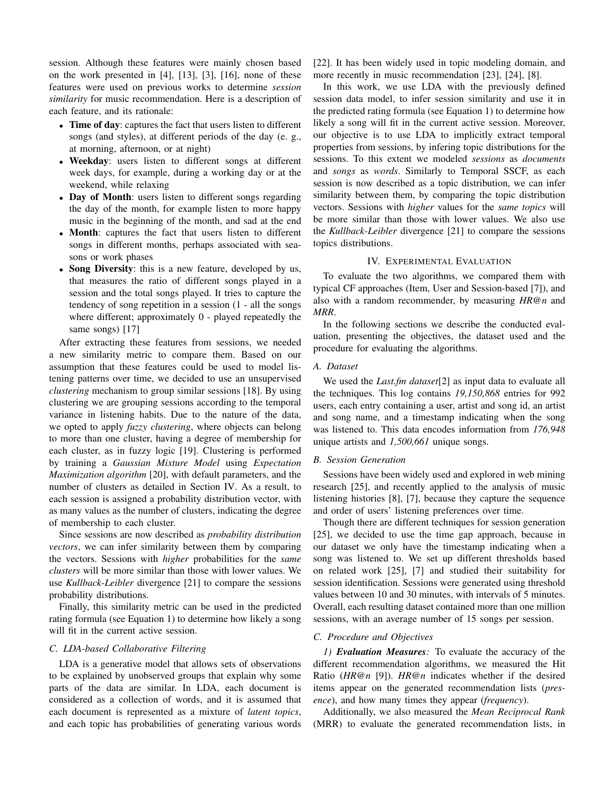session. Although these features were mainly chosen based on the work presented in [4], [13], [3], [16], none of these features were used on previous works to determine *session similarity* for music recommendation. Here is a description of each feature, and its rationale:

- Time of day: captures the fact that users listen to different songs (and styles), at different periods of the day (e. g., at morning, afternoon, or at night)
- Weekday: users listen to different songs at different week days, for example, during a working day or at the weekend, while relaxing
- Day of Month: users listen to different songs regarding the day of the month, for example listen to more happy music in the beginning of the month, and sad at the end
- Month: captures the fact that users listen to different songs in different months, perhaps associated with seasons or work phases
- Song Diversity: this is a new feature, developed by us, that measures the ratio of different songs played in a session and the total songs played. It tries to capture the tendency of song repetition in a session (1 - all the songs where different; approximately 0 - played repeatedly the same songs) [17]

After extracting these features from sessions, we needed a new similarity metric to compare them. Based on our assumption that these features could be used to model listening patterns over time, we decided to use an unsupervised *clustering* mechanism to group similar sessions [18]. By using clustering we are grouping sessions according to the temporal variance in listening habits. Due to the nature of the data, we opted to apply *fuzzy clustering*, where objects can belong to more than one cluster, having a degree of membership for each cluster, as in fuzzy logic [19]. Clustering is performed by training a *Gaussian Mixture Model* using *Expectation Maximization algorithm* [20], with default parameters, and the number of clusters as detailed in Section IV. As a result, to each session is assigned a probability distribution vector, with as many values as the number of clusters, indicating the degree of membership to each cluster.

Since sessions are now described as *probability distribution vectors*, we can infer similarity between them by comparing the vectors. Sessions with *higher* probabilities for the *same clusters* will be more similar than those with lower values. We use *Kullback-Leibler* divergence [21] to compare the sessions probability distributions.

Finally, this similarity metric can be used in the predicted rating formula (see Equation 1) to determine how likely a song will fit in the current active session.

## *C. LDA-based Collaborative Filtering*

LDA is a generative model that allows sets of observations to be explained by unobserved groups that explain why some parts of the data are similar. In LDA, each document is considered as a collection of words, and it is assumed that each document is represented as a mixture of *latent topics*, and each topic has probabilities of generating various words [22]. It has been widely used in topic modeling domain, and more recently in music recommendation [23], [24], [8].

In this work, we use LDA with the previously defined session data model, to infer session similarity and use it in the predicted rating formula (see Equation 1) to determine how likely a song will fit in the current active session. Moreover, our objective is to use LDA to implicitly extract temporal properties from sessions, by infering topic distributions for the sessions. To this extent we modeled *sessions* as *documents* and *songs* as *words*. Similarly to Temporal SSCF, as each session is now described as a topic distribution, we can infer similarity between them, by comparing the topic distribution vectors. Sessions with *higher* values for the *same topics* will be more similar than those with lower values. We also use the *Kullback-Leibler* divergence [21] to compare the sessions topics distributions.

## IV. EXPERIMENTAL EVALUATION

To evaluate the two algorithms, we compared them with typical CF approaches (Item, User and Session-based [7]), and also with a random recommender, by measuring *HR@n* and *MRR*.

In the following sections we describe the conducted evaluation, presenting the objectives, the dataset used and the procedure for evaluating the algorithms.

## *A. Dataset*

We used the *Last.fm dataset*[2] as input data to evaluate all the techniques. This log contains *19,150,868* entries for 992 users, each entry containing a user, artist and song id, an artist and song name, and a timestamp indicating when the song was listened to. This data encodes information from *176,948* unique artists and *1,500,661* unique songs.

## *B. Session Generation*

Sessions have been widely used and explored in web mining research [25], and recently applied to the analysis of music listening histories [8], [7], because they capture the sequence and order of users' listening preferences over time.

Though there are different techniques for session generation [25], we decided to use the time gap approach, because in our dataset we only have the timestamp indicating when a song was listened to. We set up different thresholds based on related work [25], [7] and studied their suitability for session identification. Sessions were generated using threshold values between 10 and 30 minutes, with intervals of 5 minutes. Overall, each resulting dataset contained more than one million sessions, with an average number of 15 songs per session.

## *C. Procedure and Objectives*

*1) Evaluation Measures:* To evaluate the accuracy of the different recommendation algorithms, we measured the Hit Ratio (*HR@n* [9]). *HR@n* indicates whether if the desired items appear on the generated recommendation lists (*presence*), and how many times they appear (*frequency*).

Additionally, we also measured the *Mean Reciprocal Rank* (MRR) to evaluate the generated recommendation lists, in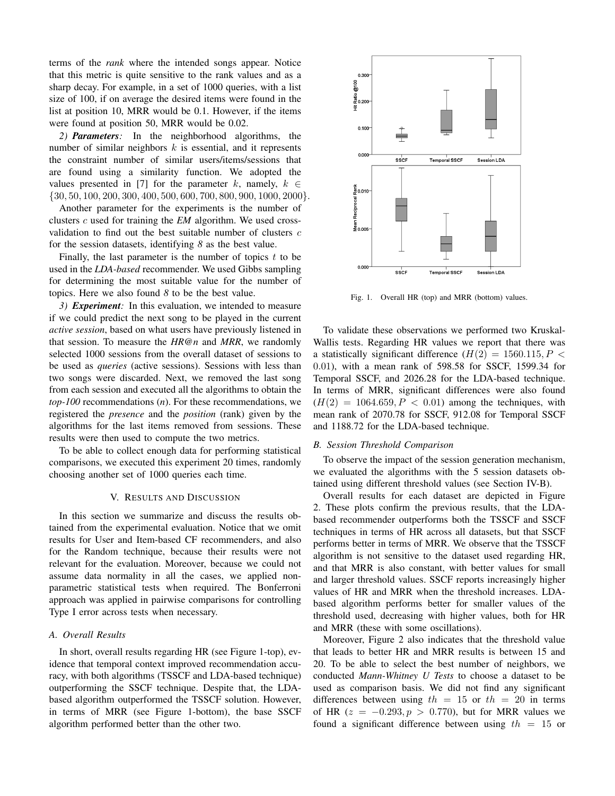terms of the *rank* where the intended songs appear. Notice that this metric is quite sensitive to the rank values and as a sharp decay. For example, in a set of 1000 queries, with a list size of 100, if on average the desired items were found in the list at position 10, MRR would be 0.1. However, if the items were found at position 50, MRR would be 0.02.

*2) Parameters:* In the neighborhood algorithms, the number of similar neighbors  $k$  is essential, and it represents the constraint number of similar users/items/sessions that are found using a similarity function. We adopted the values presented in [7] for the parameter k, namely,  $k \in$ {30, 50, 100, 200, 300, 400, 500, 600, 700, 800, 900, 1000, 2000}.

Another parameter for the experiments is the number of clusters c used for training the *EM* algorithm. We used crossvalidation to find out the best suitable number of clusters  $c$ for the session datasets, identifying *8* as the best value.

Finally, the last parameter is the number of topics  $t$  to be used in the *LDA-based* recommender. We used Gibbs sampling for determining the most suitable value for the number of topics. Here we also found *8* to be the best value.

*3) Experiment:* In this evaluation, we intended to measure if we could predict the next song to be played in the current *active session*, based on what users have previously listened in that session. To measure the *HR@n* and *MRR*, we randomly selected 1000 sessions from the overall dataset of sessions to be used as *queries* (active sessions). Sessions with less than two songs were discarded. Next, we removed the last song from each session and executed all the algorithms to obtain the *top-100* recommendations (*n*). For these recommendations, we registered the *presence* and the *position* (rank) given by the algorithms for the last items removed from sessions. These results were then used to compute the two metrics.

To be able to collect enough data for performing statistical comparisons, we executed this experiment 20 times, randomly choosing another set of 1000 queries each time.

## V. RESULTS AND DISCUSSION

In this section we summarize and discuss the results obtained from the experimental evaluation. Notice that we omit results for User and Item-based CF recommenders, and also for the Random technique, because their results were not relevant for the evaluation. Moreover, because we could not assume data normality in all the cases, we applied nonparametric statistical tests when required. The Bonferroni approach was applied in pairwise comparisons for controlling Type I error across tests when necessary.

## *A. Overall Results*

In short, overall results regarding HR (see Figure 1-top), evidence that temporal context improved recommendation accuracy, with both algorithms (TSSCF and LDA-based technique) outperforming the SSCF technique. Despite that, the LDAbased algorithm outperformed the TSSCF solution. However, in terms of MRR (see Figure 1-bottom), the base SSCF algorithm performed better than the other two.



Fig. 1. Overall HR (top) and MRR (bottom) values.

To validate these observations we performed two Kruskal-Wallis tests. Regarding HR values we report that there was a statistically significant difference  $(H(2) = 1560.115, P <$ 0.01), with a mean rank of 598.58 for SSCF, 1599.34 for Temporal SSCF, and 2026.28 for the LDA-based technique. In terms of MRR, significant differences were also found  $(H(2) = 1064.659, P < 0.01)$  among the techniques, with mean rank of 2070.78 for SSCF, 912.08 for Temporal SSCF and 1188.72 for the LDA-based technique.

#### *B. Session Threshold Comparison*

To observe the impact of the session generation mechanism, we evaluated the algorithms with the 5 session datasets obtained using different threshold values (see Section IV-B).

Overall results for each dataset are depicted in Figure 2. These plots confirm the previous results, that the LDAbased recommender outperforms both the TSSCF and SSCF techniques in terms of HR across all datasets, but that SSCF performs better in terms of MRR. We observe that the TSSCF algorithm is not sensitive to the dataset used regarding HR, and that MRR is also constant, with better values for small and larger threshold values. SSCF reports increasingly higher values of HR and MRR when the threshold increases. LDAbased algorithm performs better for smaller values of the threshold used, decreasing with higher values, both for HR and MRR (these with some oscillations).

Moreover, Figure 2 also indicates that the threshold value that leads to better HR and MRR results is between 15 and 20. To be able to select the best number of neighbors, we conducted *Mann-Whitney U Tests* to choose a dataset to be used as comparison basis. We did not find any significant differences between using  $th = 15$  or  $th = 20$  in terms of HR ( $z = -0.293, p > 0.770$ ), but for MRR values we found a significant difference between using  $th = 15$  or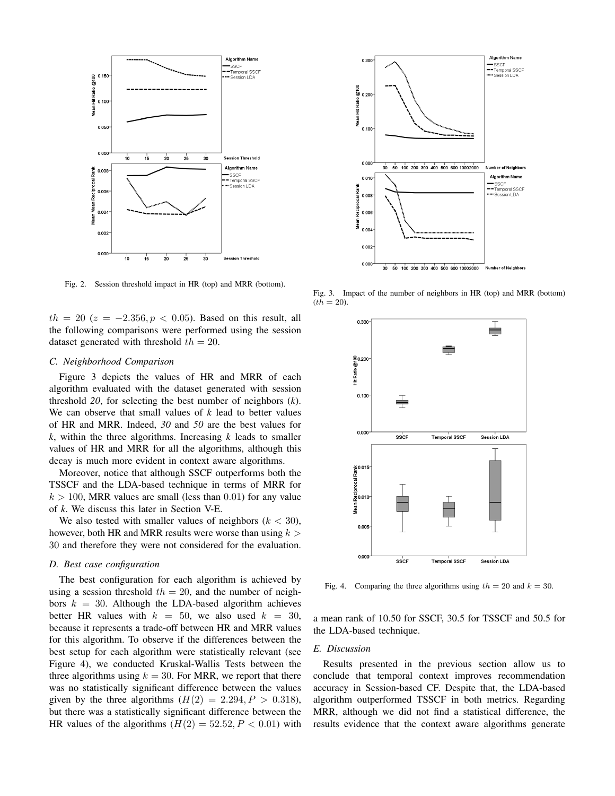

Fig. 2. Session threshold impact in HR (top) and MRR (bottom).

 $th = 20$  ( $z = -2.356, p < 0.05$ ). Based on this result, all the following comparisons were performed using the session dataset generated with threshold  $th = 20$ .

## *C. Neighborhood Comparison*

Figure 3 depicts the values of HR and MRR of each algorithm evaluated with the dataset generated with session threshold *20*, for selecting the best number of neighbors (*k*). We can observe that small values of *k* lead to better values of HR and MRR. Indeed, *30* and *50* are the best values for *k*, within the three algorithms. Increasing *k* leads to smaller values of HR and MRR for all the algorithms, although this decay is much more evident in context aware algorithms.

Moreover, notice that although SSCF outperforms both the TSSCF and the LDA-based technique in terms of MRR for  $k > 100$ , MRR values are small (less than 0.01) for any value of *k*. We discuss this later in Section V-E.

We also tested with smaller values of neighbors ( $k < 30$ ), however, both HR and MRR results were worse than using  $k >$ 30 and therefore they were not considered for the evaluation.

## *D. Best case configuration*

The best configuration for each algorithm is achieved by using a session threshold  $th = 20$ , and the number of neighbors  $k = 30$ . Although the LDA-based algorithm achieves better HR values with  $k = 50$ , we also used  $k = 30$ , because it represents a trade-off between HR and MRR values for this algorithm. To observe if the differences between the best setup for each algorithm were statistically relevant (see Figure 4), we conducted Kruskal-Wallis Tests between the three algorithms using  $k = 30$ . For MRR, we report that there was no statistically significant difference between the values given by the three algorithms  $(H(2) = 2.294, P > 0.318)$ , but there was a statistically significant difference between the HR values of the algorithms  $(H(2) = 52.52, P < 0.01)$  with



Fig. 3. Impact of the number of neighbors in HR (top) and MRR (bottom)  $(th = 20).$ 



Fig. 4. Comparing the three algorithms using  $th = 20$  and  $k = 30$ .

a mean rank of 10.50 for SSCF, 30.5 for TSSCF and 50.5 for the LDA-based technique.

#### *E. Discussion*

Results presented in the previous section allow us to conclude that temporal context improves recommendation accuracy in Session-based CF. Despite that, the LDA-based algorithm outperformed TSSCF in both metrics. Regarding MRR, although we did not find a statistical difference, the results evidence that the context aware algorithms generate